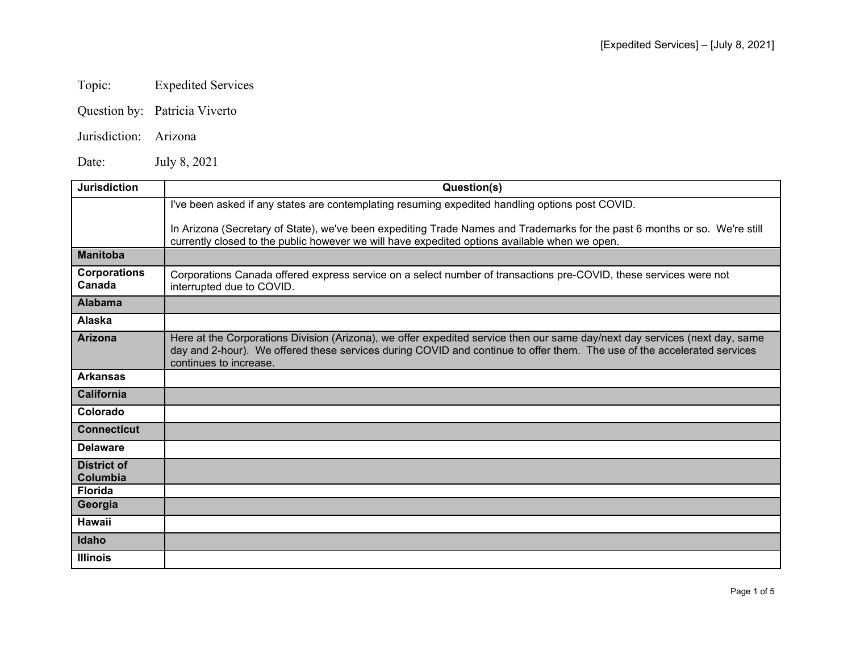## Topic: Expedited Services

Question by: Patricia Viverto

Jurisdiction: Arizona

Date: July 8, 2021

| <b>Jurisdiction</b>                   | Question(s)                                                                                                                                                                                                                                                                      |
|---------------------------------------|----------------------------------------------------------------------------------------------------------------------------------------------------------------------------------------------------------------------------------------------------------------------------------|
|                                       | I've been asked if any states are contemplating resuming expedited handling options post COVID.                                                                                                                                                                                  |
|                                       | In Arizona (Secretary of State), we've been expediting Trade Names and Trademarks for the past 6 months or so. We're still<br>currently closed to the public however we will have expedited options available when we open.                                                      |
| <b>Manitoba</b>                       |                                                                                                                                                                                                                                                                                  |
| <b>Corporations</b><br>Canada         | Corporations Canada offered express service on a select number of transactions pre-COVID, these services were not<br>interrupted due to COVID.                                                                                                                                   |
| <b>Alabama</b>                        |                                                                                                                                                                                                                                                                                  |
| Alaska                                |                                                                                                                                                                                                                                                                                  |
| <b>Arizona</b>                        | Here at the Corporations Division (Arizona), we offer expedited service then our same day/next day services (next day, same<br>day and 2-hour). We offered these services during COVID and continue to offer them. The use of the accelerated services<br>continues to increase. |
| <b>Arkansas</b>                       |                                                                                                                                                                                                                                                                                  |
| <b>California</b>                     |                                                                                                                                                                                                                                                                                  |
| Colorado                              |                                                                                                                                                                                                                                                                                  |
| <b>Connecticut</b>                    |                                                                                                                                                                                                                                                                                  |
| <b>Delaware</b>                       |                                                                                                                                                                                                                                                                                  |
| <b>District of</b><br><b>Columbia</b> |                                                                                                                                                                                                                                                                                  |
| <b>Florida</b>                        |                                                                                                                                                                                                                                                                                  |
| Georgia                               |                                                                                                                                                                                                                                                                                  |
| <b>Hawaii</b>                         |                                                                                                                                                                                                                                                                                  |
| Idaho                                 |                                                                                                                                                                                                                                                                                  |
| <b>Illinois</b>                       |                                                                                                                                                                                                                                                                                  |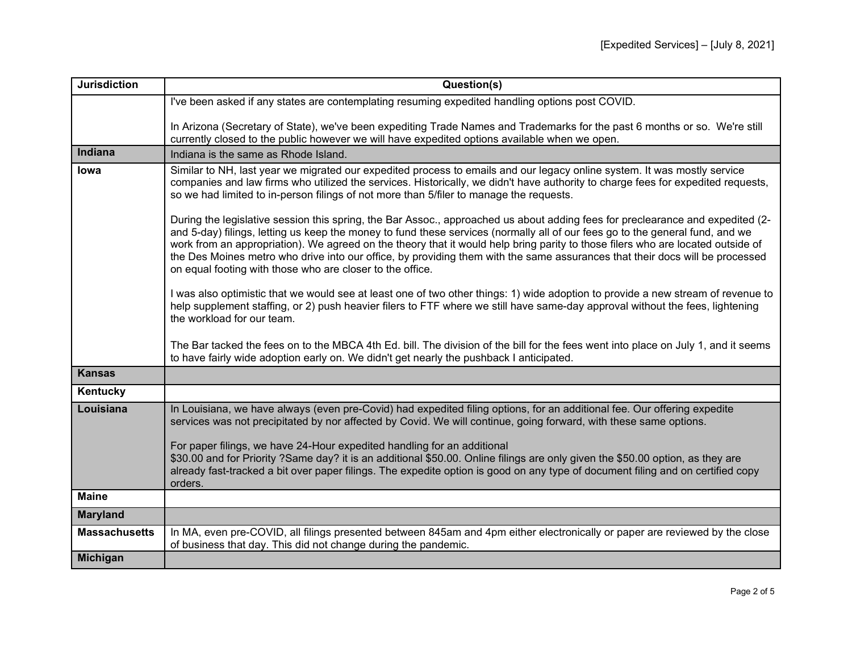| <b>Jurisdiction</b>  | Question(s)                                                                                                                                                                                                                                                                                                                                                                                                                                                                                                                                                                                                                                                                                                                                                                                                                                                                                                                                                                                                                                                                                                                                                                                                                     |
|----------------------|---------------------------------------------------------------------------------------------------------------------------------------------------------------------------------------------------------------------------------------------------------------------------------------------------------------------------------------------------------------------------------------------------------------------------------------------------------------------------------------------------------------------------------------------------------------------------------------------------------------------------------------------------------------------------------------------------------------------------------------------------------------------------------------------------------------------------------------------------------------------------------------------------------------------------------------------------------------------------------------------------------------------------------------------------------------------------------------------------------------------------------------------------------------------------------------------------------------------------------|
|                      | I've been asked if any states are contemplating resuming expedited handling options post COVID.                                                                                                                                                                                                                                                                                                                                                                                                                                                                                                                                                                                                                                                                                                                                                                                                                                                                                                                                                                                                                                                                                                                                 |
|                      | In Arizona (Secretary of State), we've been expediting Trade Names and Trademarks for the past 6 months or so. We're still<br>currently closed to the public however we will have expedited options available when we open.                                                                                                                                                                                                                                                                                                                                                                                                                                                                                                                                                                                                                                                                                                                                                                                                                                                                                                                                                                                                     |
| Indiana              | Indiana is the same as Rhode Island.                                                                                                                                                                                                                                                                                                                                                                                                                                                                                                                                                                                                                                                                                                                                                                                                                                                                                                                                                                                                                                                                                                                                                                                            |
| lowa                 | Similar to NH, last year we migrated our expedited process to emails and our legacy online system. It was mostly service<br>companies and law firms who utilized the services. Historically, we didn't have authority to charge fees for expedited requests,<br>so we had limited to in-person filings of not more than 5/filer to manage the requests.<br>During the legislative session this spring, the Bar Assoc., approached us about adding fees for preclearance and expedited (2-<br>and 5-day) filings, letting us keep the money to fund these services (normally all of our fees go to the general fund, and we<br>work from an appropriation). We agreed on the theory that it would help bring parity to those filers who are located outside of<br>the Des Moines metro who drive into our office, by providing them with the same assurances that their docs will be processed<br>on equal footing with those who are closer to the office.<br>I was also optimistic that we would see at least one of two other things: 1) wide adoption to provide a new stream of revenue to<br>help supplement staffing, or 2) push heavier filers to FTF where we still have same-day approval without the fees, lightening |
|                      | the workload for our team.                                                                                                                                                                                                                                                                                                                                                                                                                                                                                                                                                                                                                                                                                                                                                                                                                                                                                                                                                                                                                                                                                                                                                                                                      |
|                      | The Bar tacked the fees on to the MBCA 4th Ed. bill. The division of the bill for the fees went into place on July 1, and it seems<br>to have fairly wide adoption early on. We didn't get nearly the pushback I anticipated.                                                                                                                                                                                                                                                                                                                                                                                                                                                                                                                                                                                                                                                                                                                                                                                                                                                                                                                                                                                                   |
| <b>Kansas</b>        |                                                                                                                                                                                                                                                                                                                                                                                                                                                                                                                                                                                                                                                                                                                                                                                                                                                                                                                                                                                                                                                                                                                                                                                                                                 |
| Kentucky             |                                                                                                                                                                                                                                                                                                                                                                                                                                                                                                                                                                                                                                                                                                                                                                                                                                                                                                                                                                                                                                                                                                                                                                                                                                 |
| Louisiana            | In Louisiana, we have always (even pre-Covid) had expedited filing options, for an additional fee. Our offering expedite<br>services was not precipitated by nor affected by Covid. We will continue, going forward, with these same options.<br>For paper filings, we have 24-Hour expedited handling for an additional<br>\$30.00 and for Priority ?Same day? it is an additional \$50.00. Online filings are only given the \$50.00 option, as they are<br>already fast-tracked a bit over paper filings. The expedite option is good on any type of document filing and on certified copy<br>orders.                                                                                                                                                                                                                                                                                                                                                                                                                                                                                                                                                                                                                        |
| <b>Maine</b>         |                                                                                                                                                                                                                                                                                                                                                                                                                                                                                                                                                                                                                                                                                                                                                                                                                                                                                                                                                                                                                                                                                                                                                                                                                                 |
| <b>Maryland</b>      |                                                                                                                                                                                                                                                                                                                                                                                                                                                                                                                                                                                                                                                                                                                                                                                                                                                                                                                                                                                                                                                                                                                                                                                                                                 |
| <b>Massachusetts</b> | In MA, even pre-COVID, all filings presented between 845am and 4pm either electronically or paper are reviewed by the close<br>of business that day. This did not change during the pandemic.                                                                                                                                                                                                                                                                                                                                                                                                                                                                                                                                                                                                                                                                                                                                                                                                                                                                                                                                                                                                                                   |
| <b>Michigan</b>      |                                                                                                                                                                                                                                                                                                                                                                                                                                                                                                                                                                                                                                                                                                                                                                                                                                                                                                                                                                                                                                                                                                                                                                                                                                 |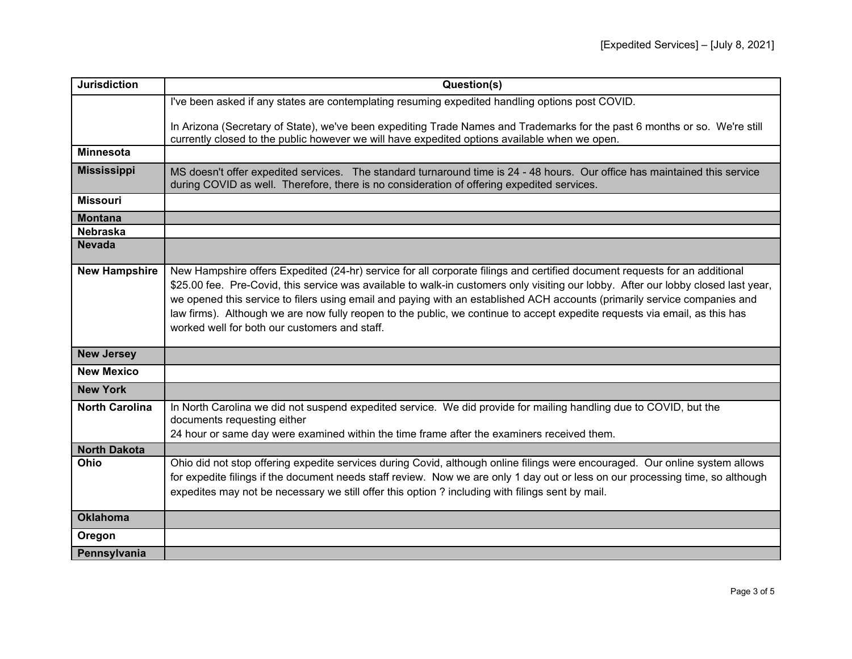| <b>Jurisdiction</b>   | Question(s)                                                                                                                                                                                                                                                                                                                                                                                                                                                                                                                                                                  |
|-----------------------|------------------------------------------------------------------------------------------------------------------------------------------------------------------------------------------------------------------------------------------------------------------------------------------------------------------------------------------------------------------------------------------------------------------------------------------------------------------------------------------------------------------------------------------------------------------------------|
|                       | I've been asked if any states are contemplating resuming expedited handling options post COVID.                                                                                                                                                                                                                                                                                                                                                                                                                                                                              |
|                       | In Arizona (Secretary of State), we've been expediting Trade Names and Trademarks for the past 6 months or so. We're still<br>currently closed to the public however we will have expedited options available when we open.                                                                                                                                                                                                                                                                                                                                                  |
| <b>Minnesota</b>      |                                                                                                                                                                                                                                                                                                                                                                                                                                                                                                                                                                              |
| <b>Mississippi</b>    | MS doesn't offer expedited services. The standard turnaround time is 24 - 48 hours. Our office has maintained this service<br>during COVID as well. Therefore, there is no consideration of offering expedited services.                                                                                                                                                                                                                                                                                                                                                     |
| <b>Missouri</b>       |                                                                                                                                                                                                                                                                                                                                                                                                                                                                                                                                                                              |
| <b>Montana</b>        |                                                                                                                                                                                                                                                                                                                                                                                                                                                                                                                                                                              |
| <b>Nebraska</b>       |                                                                                                                                                                                                                                                                                                                                                                                                                                                                                                                                                                              |
| <b>Nevada</b>         |                                                                                                                                                                                                                                                                                                                                                                                                                                                                                                                                                                              |
| <b>New Hampshire</b>  | New Hampshire offers Expedited (24-hr) service for all corporate filings and certified document requests for an additional<br>\$25.00 fee. Pre-Covid, this service was available to walk-in customers only visiting our lobby. After our lobby closed last year,<br>we opened this service to filers using email and paying with an established ACH accounts (primarily service companies and<br>law firms). Although we are now fully reopen to the public, we continue to accept expedite requests via email, as this has<br>worked well for both our customers and staff. |
| <b>New Jersey</b>     |                                                                                                                                                                                                                                                                                                                                                                                                                                                                                                                                                                              |
| <b>New Mexico</b>     |                                                                                                                                                                                                                                                                                                                                                                                                                                                                                                                                                                              |
| <b>New York</b>       |                                                                                                                                                                                                                                                                                                                                                                                                                                                                                                                                                                              |
| <b>North Carolina</b> | In North Carolina we did not suspend expedited service. We did provide for mailing handling due to COVID, but the<br>documents requesting either<br>24 hour or same day were examined within the time frame after the examiners received them.                                                                                                                                                                                                                                                                                                                               |
| <b>North Dakota</b>   |                                                                                                                                                                                                                                                                                                                                                                                                                                                                                                                                                                              |
| Ohio                  | Ohio did not stop offering expedite services during Covid, although online filings were encouraged. Our online system allows<br>for expedite filings if the document needs staff review. Now we are only 1 day out or less on our processing time, so although<br>expedites may not be necessary we still offer this option ? including with filings sent by mail.                                                                                                                                                                                                           |
| <b>Oklahoma</b>       |                                                                                                                                                                                                                                                                                                                                                                                                                                                                                                                                                                              |
| Oregon                |                                                                                                                                                                                                                                                                                                                                                                                                                                                                                                                                                                              |
| Pennsylvania          |                                                                                                                                                                                                                                                                                                                                                                                                                                                                                                                                                                              |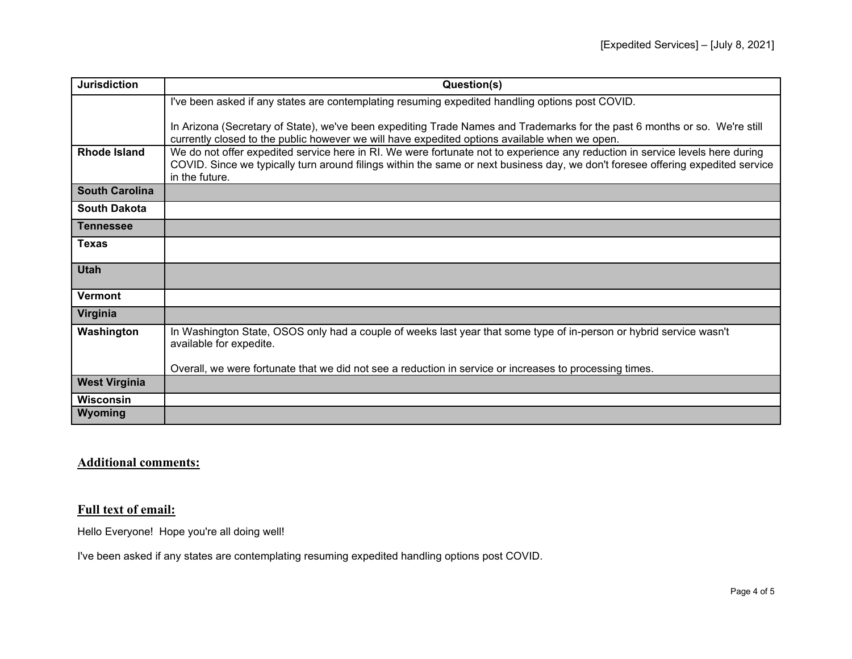| <b>Jurisdiction</b>   | Question(s)                                                                                                                                                                                                                                                                        |
|-----------------------|------------------------------------------------------------------------------------------------------------------------------------------------------------------------------------------------------------------------------------------------------------------------------------|
|                       | I've been asked if any states are contemplating resuming expedited handling options post COVID.                                                                                                                                                                                    |
|                       | In Arizona (Secretary of State), we've been expediting Trade Names and Trademarks for the past 6 months or so. We're still<br>currently closed to the public however we will have expedited options available when we open.                                                        |
| <b>Rhode Island</b>   | We do not offer expedited service here in RI. We were fortunate not to experience any reduction in service levels here during<br>COVID. Since we typically turn around filings within the same or next business day, we don't foresee offering expedited service<br>in the future. |
| <b>South Carolina</b> |                                                                                                                                                                                                                                                                                    |
| <b>South Dakota</b>   |                                                                                                                                                                                                                                                                                    |
| Tennessee             |                                                                                                                                                                                                                                                                                    |
| Texas                 |                                                                                                                                                                                                                                                                                    |
| <b>Utah</b>           |                                                                                                                                                                                                                                                                                    |
| <b>Vermont</b>        |                                                                                                                                                                                                                                                                                    |
| Virginia              |                                                                                                                                                                                                                                                                                    |
| Washington            | In Washington State, OSOS only had a couple of weeks last year that some type of in-person or hybrid service wasn't<br>available for expedite.                                                                                                                                     |
|                       | Overall, we were fortunate that we did not see a reduction in service or increases to processing times.                                                                                                                                                                            |
| <b>West Virginia</b>  |                                                                                                                                                                                                                                                                                    |
| Wisconsin             |                                                                                                                                                                                                                                                                                    |
| Wyoming               |                                                                                                                                                                                                                                                                                    |

## **Additional comments:**

## **Full text of email:**

Hello Everyone! Hope you're all doing well!

I've been asked if any states are contemplating resuming expedited handling options post COVID.